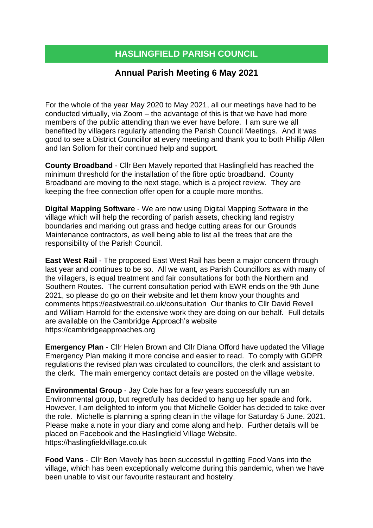## **HASLINGFIELD PARISH COUNCIL**

## **Annual Parish Meeting 6 May 2021**

For the whole of the year May 2020 to May 2021, all our meetings have had to be conducted virtually, via Zoom – the advantage of this is that we have had more members of the public attending than we ever have before. I am sure we all benefited by villagers regularly attending the Parish Council Meetings. And it was good to see a District Councillor at every meeting and thank you to both Phillip Allen and Ian Sollom for their continued help and support.

**County Broadband** - Cllr Ben Mavely reported that Haslingfield has reached the minimum threshold for the installation of the fibre optic broadband. County Broadband are moving to the next stage, which is a project review. They are keeping the free connection offer open for a couple more months.

**Digital Mapping Software** - We are now using Digital Mapping Software in the village which will help the recording of parish assets, checking land registry boundaries and marking out grass and hedge cutting areas for our Grounds Maintenance contractors, as well being able to list all the trees that are the responsibility of the Parish Council.

**East West Rail** - The proposed East West Rail has been a major concern through last year and continues to be so. All we want, as Parish Councillors as with many of the villagers, is equal treatment and fair consultations for both the Northern and Southern Routes. The current consultation period with EWR ends on the 9th June 2021, so please do go on their website and let them know your thoughts and comments <https://eastwestrail.co.uk/consultation> Our thanks to Cllr David Revell and William Harrold for the extensive work they are doing on our behalf. Full details are available on the Cambridge Approach's website [https://cambridgeapproaches.org](https://cambridgeapproaches.org/)

**Emergency Plan** - Cllr Helen Brown and Cllr Diana Offord have updated the Village Emergency Plan making it more concise and easier to read. To comply with GDPR regulations the revised plan was circulated to councillors, the clerk and assistant to the clerk. The main emergency contact details are posted on the village website.

**Environmental Group** - Jay Cole has for a few years successfully run an Environmental group, but regretfully has decided to hang up her spade and fork. However, I am delighted to inform you that Michelle Golder has decided to take over the role. Michelle is planning a spring clean in the village for Saturday 5 June. 2021. Please make a note in your diary and come along and help. Further details will be placed on Facebook and the Haslingfield Village Website. [https://haslingfieldvillage.co.uk](https://haslingfieldvillage.co.uk/)

**Food Vans** - Cllr Ben Mavely has been successful in getting Food Vans into the village, which has been exceptionally welcome during this pandemic, when we have been unable to visit our favourite restaurant and hostelry.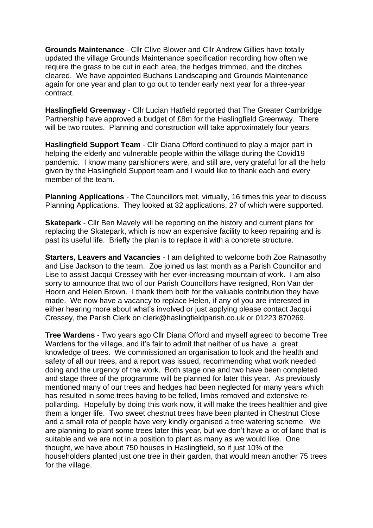**Grounds Maintenance** - Cllr Clive Blower and Cllr Andrew Gillies have totally updated the village Grounds Maintenance specification recording how often we require the grass to be cut in each area, the hedges trimmed, and the ditches cleared. We have appointed Buchans Landscaping and Grounds Maintenance again for one year and plan to go out to tender early next year for a three-year contract.

**Haslingfield Greenway** - Cllr Lucian Hatfield reported that The Greater Cambridge Partnership have approved a budget of £8m for the Haslingfield Greenway. There will be two routes. Planning and construction will take approximately four years.

**Haslingfield Support Team** - Cllr Diana Offord continued to play a major part in helping the elderly and vulnerable people within the village during the Covid19 pandemic. I know many parishioners were, and still are, very grateful for all the help given by the Haslingfield Support team and I would like to thank each and every member of the team.

**Planning Applications** - The Councillors met, virtually, 16 times this year to discuss Planning Applications. They looked at 32 applications, 27 of which were supported.

**Skatepark** - Cllr Ben Mavely will be reporting on the history and current plans for replacing the Skatepark, which is now an expensive facility to keep repairing and is past its useful life. Briefly the plan is to replace it with a concrete structure.

**Starters, Leavers and Vacancies** - I am delighted to welcome both Zoe Ratnasothy and Lise Jackson to the team. Zoe joined us last month as a Parish Councillor and Lise to assist Jacqui Cressey with her ever-increasing mountain of work. I am also sorry to announce that two of our Parish Councillors have resigned, Ron Van der Hoorn and Helen Brown. I thank them both for the valuable contribution they have made. We now have a vacancy to replace Helen, if any of you are interested in either hearing more about what's involved or just applying please contact Jacqui Cressey, the Parish Clerk on [clerk@haslingfieldparish.co.uk](mailto:clerk@haslingfieldparish.co.uk) or 01223 870269.

**Tree Wardens** - Two years ago Cllr Diana Offord and myself agreed to become Tree Wardens for the village, and it's fair to admit that neither of us have a great knowledge of trees. We commissioned an organisation to look and the health and safety of all our trees, and a report was issued, recommending what work needed doing and the urgency of the work. Both stage one and two have been completed and stage three of the programme will be planned for later this year. As previously mentioned many of our trees and hedges had been neglected for many years which has resulted in some trees having to be felled, limbs removed and extensive repollarding. Hopefully by doing this work now, it will make the trees healthier and give them a longer life. Two sweet chestnut trees have been planted in Chestnut Close and a small rota of people have very kindly organised a tree watering scheme. We are planning to plant some trees later this year, but we don't have a lot of land that is suitable and we are not in a position to plant as many as we would like. One thought, we have about 750 houses in Haslingfield, so if just 10% of the householders planted just one tree in their garden, that would mean another 75 trees for the village.